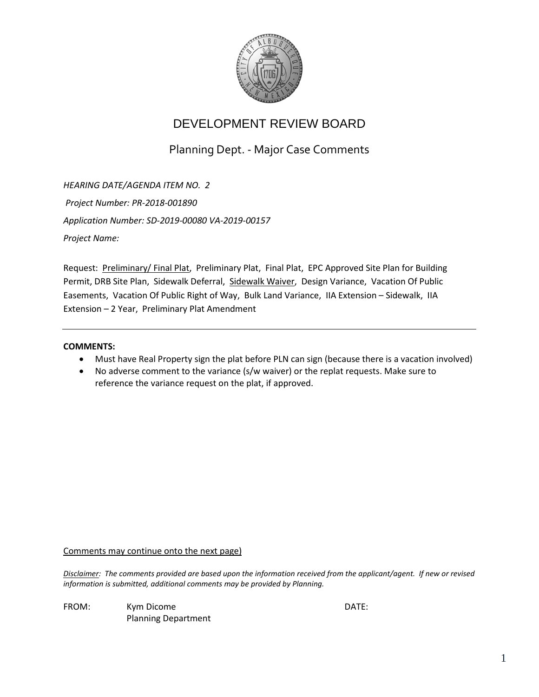

Planning Dept. - Major Case Comments

*HEARING DATE/AGENDA ITEM NO. 2 Project Number: PR-2018-001890 Application Number: SD-2019-00080 VA-2019-00157 Project Name:* 

Request: Preliminary/ Final Plat, Preliminary Plat, Final Plat, EPC Approved Site Plan for Building Permit, DRB Site Plan, Sidewalk Deferral, Sidewalk Waiver, Design Variance, Vacation Of Public Easements, Vacation Of Public Right of Way, Bulk Land Variance, IIA Extension – Sidewalk, IIA Extension – 2 Year, Preliminary Plat Amendment

#### **COMMENTS:**

- Must have Real Property sign the plat before PLN can sign (because there is a vacation involved)
- No adverse comment to the variance (s/w waiver) or the replat requests. Make sure to reference the variance request on the plat, if approved.

Comments may continue onto the next page)

*Disclaimer: The comments provided are based upon the information received from the applicant/agent. If new or revised information is submitted, additional comments may be provided by Planning.* 

FROM: Kym Dicome **Example 2018** CATE: Planning Department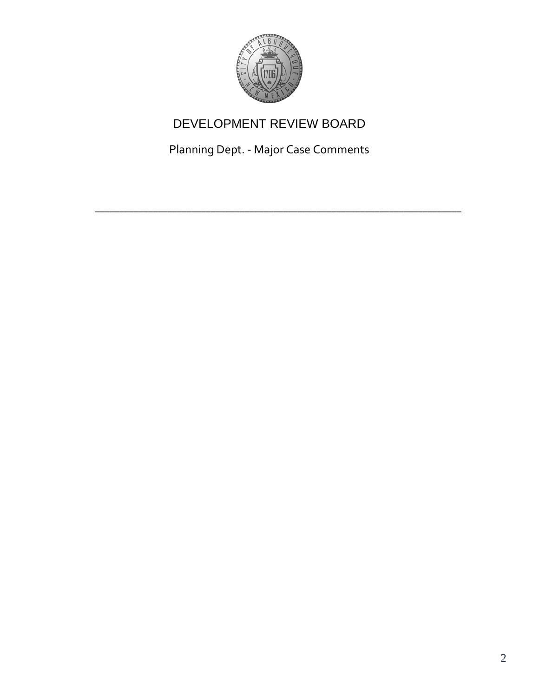

Planning Dept. - Major Case Comments

\_\_\_\_\_\_\_\_\_\_\_\_\_\_\_\_\_\_\_\_\_\_\_\_\_\_\_\_\_\_\_\_\_\_\_\_\_\_\_\_\_\_\_\_\_\_\_\_\_\_\_\_\_\_\_\_\_\_\_\_\_\_\_\_\_\_\_\_\_\_\_\_\_\_\_\_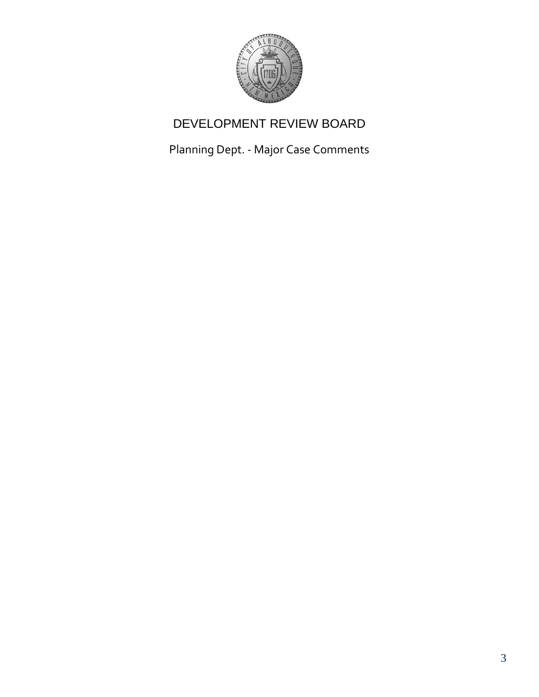

Planning Dept. - Major Case Comments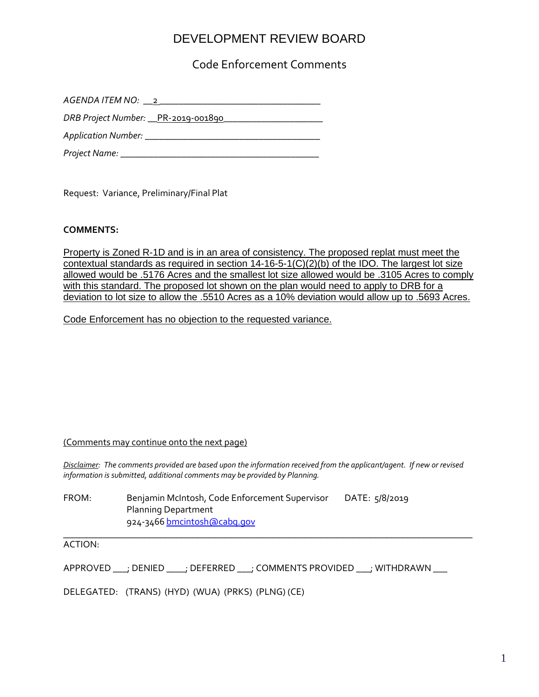Code Enforcement Comments

| $AGENDA$ ITEM NO: $\_\_2$ $\_\_$     |
|--------------------------------------|
| DRB Project Number: __PR-2019-001890 |
|                                      |
| Project Name:                        |

Request: Variance, Preliminary/Final Plat

#### **COMMENTS:**

Property is Zoned R-1D and is in an area of consistency. The proposed replat must meet the contextual standards as required in section 14-16-5-1(C)(2)(b) of the IDO. The largest lot size allowed would be .5176 Acres and the smallest lot size allowed would be .3105 Acres to comply with this standard. The proposed lot shown on the plan would need to apply to DRB for a deviation to lot size to allow the .5510 Acres as a 10% deviation would allow up to .5693 Acres.

Code Enforcement has no objection to the requested variance.

#### (Comments may continue onto the next page)

*Disclaimer: The comments provided are based upon the information received from the applicant/agent. If new or revised information is submitted, additional comments may be provided by Planning.* 

\_\_\_\_\_\_\_\_\_\_\_\_\_\_\_\_\_\_\_\_\_\_\_\_\_\_\_\_\_\_\_\_\_\_\_\_\_\_\_\_\_\_\_\_\_\_\_\_\_\_\_\_\_\_\_\_\_\_\_\_\_\_\_\_\_\_\_\_\_\_\_\_\_\_\_\_

FROM: Benjamin McIntosh, Code Enforcement Supervisor DATE: 5/8/2019 Planning Department 924-3466 [bmcintosh@cabq.gov](mailto:bmcintosh@cabq.gov)

ACTION:

APPROVED \_\_\_; DENIED \_\_\_\_; DEFERRED \_\_\_; COMMENTS PROVIDED \_\_\_; WITHDRAWN \_\_\_

DELEGATED: (TRANS) (HYD) (WUA) (PRKS) (PLNG) (CE)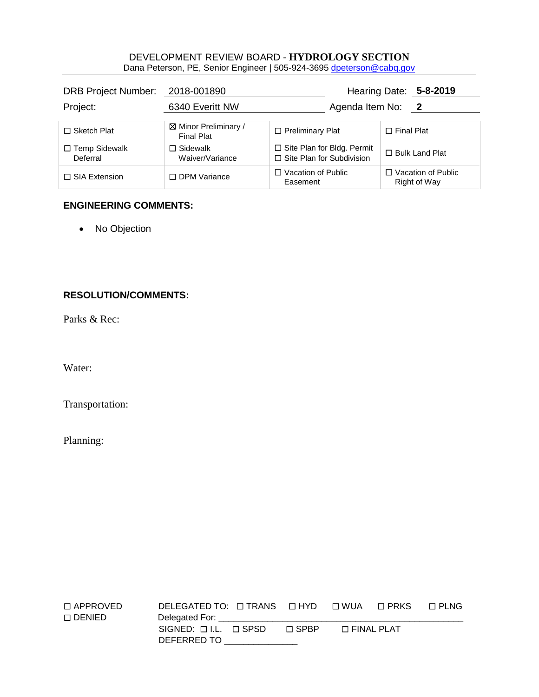#### DEVELOPMENT REVIEW BOARD - **HYDROLOGY SECTION** Dana Peterson, PE, Senior Engineer | 505-924-3695 [dpeterson@cabq.gov](mailto:rbrissette@cabq.gov)

| DRB Project Number: 2018-001890  |                                     |                                                                  |                   | Hearing Date: 5-8-2019                    |
|----------------------------------|-------------------------------------|------------------------------------------------------------------|-------------------|-------------------------------------------|
| Project:                         | 6340 Everitt NW                     | Agenda Item No:                                                  |                   | $\overline{\mathbf{2}}$                   |
| $\Box$ Sketch Plat               | ⊠ Minor Preliminary /<br>Final Plat | $\Box$ Preliminary Plat                                          | $\Box$ Final Plat |                                           |
| $\Box$ Temp Sidewalk<br>Deferral | $\Box$ Sidewalk<br>Waiver/Variance  | □ Site Plan for Bldg. Permit<br>$\Box$ Site Plan for Subdivision |                   | $\Box$ Bulk Land Plat                     |
| $\Box$ SIA Extension             | □ DPM Variance                      | $\Box$ Vacation of Public<br>Easement                            |                   | $\Box$ Vacation of Public<br>Right of Way |

### **ENGINEERING COMMENTS:**

• No Objection

### **RESOLUTION/COMMENTS:**

Parks & Rec:

Water:

Transportation:

Planning:

| $\Box$ APPROVED  | DELEGATED TO: $\Box$ TRANS $\Box$ HYD $\Box$ WUA $\Box$ PRKS |             |                   | ⊟ FLNG |
|------------------|--------------------------------------------------------------|-------------|-------------------|--------|
| $\square$ DENIED |                                                              |             |                   |        |
|                  | $SIGNED: \Box LL. \Box SPSD$                                 | $\Box$ SPRP | $\Box$ FINAL PLAT |        |
|                  | DEFERRED TO                                                  |             |                   |        |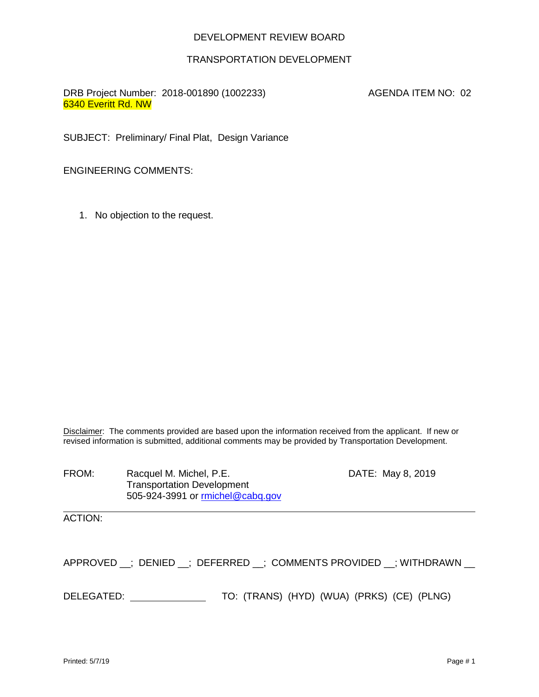#### TRANSPORTATION DEVELOPMENT

DRB Project Number: 2018-001890 (1002233) AGENDA ITEM NO: 02 6340 Everitt Rd. NW

SUBJECT: Preliminary/ Final Plat, Design Variance

ENGINEERING COMMENTS:

1. No objection to the request.

Disclaimer: The comments provided are based upon the information received from the applicant. If new or revised information is submitted, additional comments may be provided by Transportation Development.

FROM: Racquel M. Michel, P.E. DATE: May 8, 2019 Transportation Development 505-924-3991 or [rmichel@cabq.gov](mailto:rmichel@cabq.gov)

ACTION:

APPROVED \_; DENIED \_; DEFERRED \_; COMMENTS PROVIDED \_; WITHDRAWN \_

DELEGATED: TO: (TRANS) (HYD) (WUA) (PRKS) (CE) (PLNG)

l